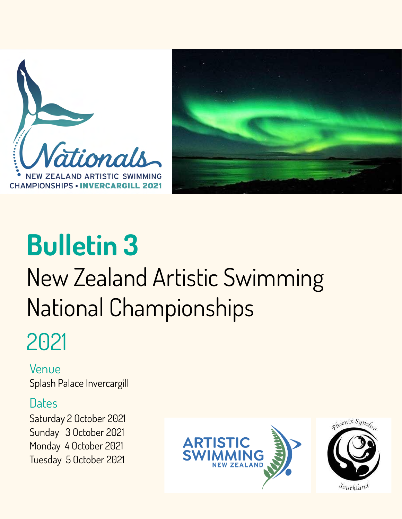



# **Bulletin 3** New Zealand Artistic Swimming National Championships

## 2021

Venue Splash Palace Invercargill

### **Dates**

Saturday 2 October 2021 Sunday 3 October 2021 Monday 4 October 2021 Tuesday 5 October 2021

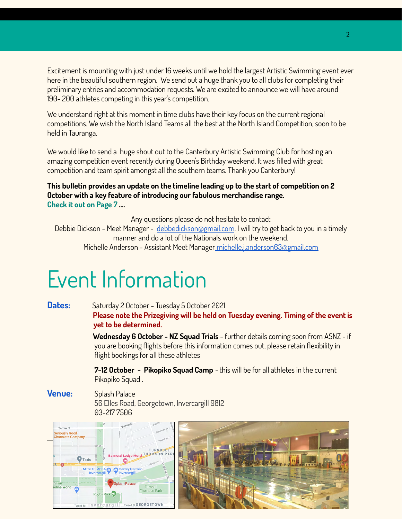Excitement is mounting with just under 16 weeks until we hold the largest Artistic Swimming event ever here in the beautiful southern region. We send out a huge thank you to all clubs for completing their preliminary entries and accommodation requests. We are excited to announce we will have around 190- 200 athletes competing in this year's competition.

We understand right at this moment in time clubs have their key focus on the current regional competitions. We wish the North Island Teams all the best at the North Island Competition, soon to be held in Tauranga.

We would like to send a huge shout out to the Canterbury Artistic Swimming Club for hosting an amazing competition event recently during Queen's Birthday weekend. It was filled with great competition and team spirit amongst all the southern teams. Thank you Canterbury!

#### **This bulletin provides an update on the timeline leading up to the start of competition on 2 October with a key feature of introducing our fabulous merchandise range. Check it out on Page 7 ….**

Any questions please do not hesitate to contact

Debbie Dickson - Meet Manager - [debbedickson@gmail.com](mailto:debbedickson@gmail.com). I will try to get back to you in a timely manner and do a lot of the Nationals work on the weekend. Michelle Anderson - Assistant Meet Manager [michelle.j.anderson63@gmail.com](mailto:michelle.j.anderson63@gmail.com)

## Event Information

Dates: Saturday 2 October - Tuesday 5 October 2021 **Please note the Prizegiving will be held on Tuesday evening. Timing of the event is yet to be determined.**

> **Wednesday 6 October - NZ Squad Trials** - further details coming soon from ASNZ - if you are booking flights before this information comes out, please retain flexibility in flight bookings for all these athletes

**7-12 October - Pikopiko Squad Camp** - this will be for all athletes in the current Pikopiko Squad .

**Venue:** Splash Palace 56 Elles Road, Georgetown, Invercargill 9812 [03-217 7506](https://www.google.com/search?q=splash+palace&oq=splash+P&aqs=chrome.0.0i355j46i175i199j46i175i199i433j69i57j0l3j69i60.4736j0j7&sourceid=chrome&ie=UTF-8#)

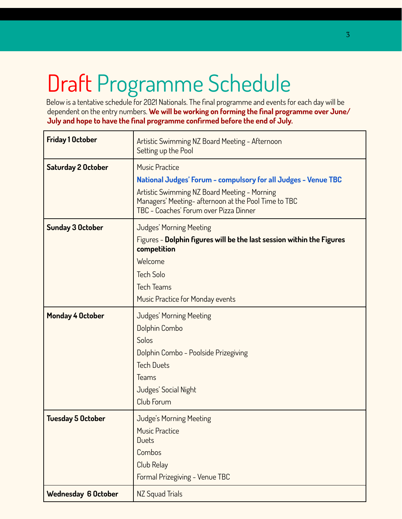## Draft Programme Schedule

Below is a tentative schedule for 2021 Nationals. The final programme and events for each day will be dependent on the entry numbers. **We will be working on forming the final programme over June/ July and hope to have the final programme confirmed before the end of July.**

| <b>Friday 1 October</b>    | Artistic Swimming NZ Board Meeting - Afternoon<br>Setting up the Pool                                                                                                                                                                    |  |  |  |  |  |  |  |
|----------------------------|------------------------------------------------------------------------------------------------------------------------------------------------------------------------------------------------------------------------------------------|--|--|--|--|--|--|--|
| <b>Saturday 2 October</b>  | <b>Music Practice</b><br>National Judges' Forum - compulsory for all Judges - Venue TBC<br>Artistic Swimming NZ Board Meeting - Morning<br>Managers' Meeting-afternoon at the Pool Time to TBC<br>TBC - Coaches' Forum over Pizza Dinner |  |  |  |  |  |  |  |
| <b>Sunday 3 October</b>    | Judges' Morning Meeting<br>Figures - Dolphin figures will be the last session within the Figures<br>competition<br>Welcome<br><b>Tech Solo</b><br><b>Tech Teams</b><br>Music Practice for Monday events                                  |  |  |  |  |  |  |  |
| <b>Monday 4 October</b>    | Judges' Morning Meeting<br>Dolphin Combo<br>Solos<br>Dolphin Combo - Poolside Prizegiving<br><b>Tech Duets</b><br>Teams<br>Judges' Social Night<br>Club Forum                                                                            |  |  |  |  |  |  |  |
| <b>Tuesday 5 October</b>   | Judge's Morning Meeting<br><b>Music Practice</b><br><b>Duets</b><br>Combos<br>Club Relay<br>Formal Prizegiving - Venue TBC                                                                                                               |  |  |  |  |  |  |  |
| <b>Wednesday 6 October</b> | NZ Squad Trials                                                                                                                                                                                                                          |  |  |  |  |  |  |  |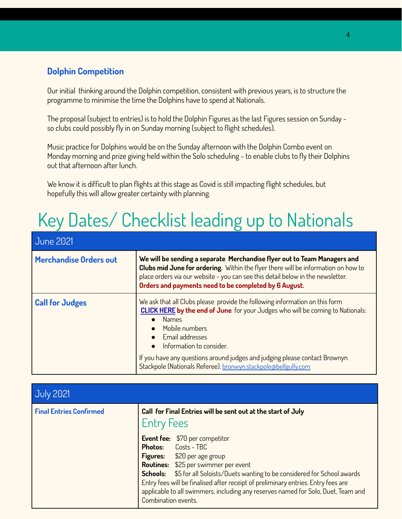#### **Dolphin Competition**

Our initial thinking around the Dolphin competition, consistent with previous years, is to structure the programme to minimise the time the Dolphins have to spend at Nationals.

The proposal (subject to entries) is to hold the Dolphin Figures as the last Figures session on Sunday so clubs could possibly fly in on Sunday morning (subject to flight schedules).

Music practice for Dolphins would be on the Sunday afternoon with the Dolphin Combo event on Monday morning and prize giving held within the Solo scheduling - to enable clubs to fly their Dolphins out that afternoon after lunch.

We know it is difficult to plan flights at this stage as Covid is still impacting flight schedules, but hopefully this will allow greater certainty with planning.

### Key Dates/ Checklist leading up to Nationals

| <b>June 2021</b>              |                                                                                                                                                                                                                                                                                                                                                                                                                    |
|-------------------------------|--------------------------------------------------------------------------------------------------------------------------------------------------------------------------------------------------------------------------------------------------------------------------------------------------------------------------------------------------------------------------------------------------------------------|
| <b>Merchandise Orders out</b> | We will be sending a separate Merchandise flyer out to Team Managers and<br>Clubs mid June for ordering. Within the flyer there will be information on how to<br>place orders via our website - you can see this detail below in the newsletter.<br>Orders and payments need to be completed by 6 August.                                                                                                          |
| <b>Call for Judges</b>        | We ask that all Clubs please provide the following information on this form<br><b>CLICK HERE by the end of June</b> for your Judges who will be coming to Nationals:<br><b>Names</b><br>Mobile numbers<br>Email addresses<br>Information to consider.<br>$\bullet$<br>If you have any questions around judges and judging please contact Brownyn<br>Stackpole (Nationals Referee). bronwyn.stackpole@bellgully.com |

| <b>July 2021</b>               |                                                                                                                                                                                                                                                                                                                                                                                                                                             |  |  |  |  |  |
|--------------------------------|---------------------------------------------------------------------------------------------------------------------------------------------------------------------------------------------------------------------------------------------------------------------------------------------------------------------------------------------------------------------------------------------------------------------------------------------|--|--|--|--|--|
| <b>Final Entries Confirmed</b> | Call for Final Entries will be sent out at the start of July<br><b>Entry Fees</b>                                                                                                                                                                                                                                                                                                                                                           |  |  |  |  |  |
|                                | <b>Event fee:</b> \$70 per competitor<br><b>Photos:</b> Costs - TBC<br>Figures: \$20 per age group<br><b>Routines:</b> \$25 per swimmer per event<br><b>Schools:</b> \$5 for all Soloists/Duets wanting to be considered for School awards<br>Entry fees will be finalised after receipt of preliminary entries. Entry fees are<br>applicable to all swimmers, including any reserves named for Solo, Duet, Team and<br>Combination events. |  |  |  |  |  |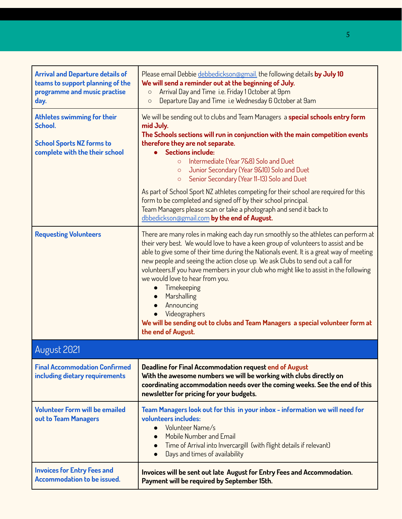| <b>Arrival and Departure details of</b><br>teams to support planning of the<br>programme and music practise<br>day. | Please email Debbie debbedickson@gmail. the following details by July 10<br>We will send a reminder out at the beginning of July.<br>Arrival Day and Time i.e. Friday 1 October at 9pm<br>$\circ$<br>Departure Day and Time i.e Wednesday 6 October at 9am<br>$\circ$                                                                                                                                                                                                                                                                                                                                                                                    |
|---------------------------------------------------------------------------------------------------------------------|----------------------------------------------------------------------------------------------------------------------------------------------------------------------------------------------------------------------------------------------------------------------------------------------------------------------------------------------------------------------------------------------------------------------------------------------------------------------------------------------------------------------------------------------------------------------------------------------------------------------------------------------------------|
| Athletes swimming for their<br>School.<br><b>School Sports NZ forms to</b><br>complete with the their school        | We will be sending out to clubs and Team Managers a special schools entry form<br>mid July.<br>The Schools sections will run in conjunction with the main competition events<br>therefore they are not separate.<br>• Sections include:<br>Intermediate (Year 7&8) Solo and Duet<br>$\circ$<br>Junior Secondary (Year 9&10) Solo and Duet<br>$\circ$<br>Senior Secondary (Year 11-13) Solo and Duet<br>$\circ$                                                                                                                                                                                                                                           |
|                                                                                                                     | As part of School Sport NZ athletes competing for their school are required for this<br>form to be completed and signed off by their school principal.<br>Team Managers please scan or take a photograph and send it back to<br>dbbedickson@gmail.com by the end of August.                                                                                                                                                                                                                                                                                                                                                                              |
| <b>Requesting Volunteers</b>                                                                                        | There are many roles in making each day run smoothly so the athletes can perform at<br>their very best. We would love to have a keen group of volunteers to assist and be<br>able to give some of their time during the Nationals event. It is a great way of meeting<br>new people and seeing the action close up. We ask Clubs to send out a call for<br>volunteers. If you have members in your club who might like to assist in the following<br>we would love to hear from you.<br>Timekeeping<br>Marshalling<br>Announcing<br>Videographers<br>We will be sending out to clubs and Team Managers a special volunteer form at<br>the end of August. |
| August 2021                                                                                                         |                                                                                                                                                                                                                                                                                                                                                                                                                                                                                                                                                                                                                                                          |
| <b>Final Accommodation Confirmed</b><br>including dietary requirements                                              | <b>Deadline for Final Accommodation request end of August</b><br>With the awesome numbers we will be working with clubs directly on<br>coordinating accommodation needs over the coming weeks. See the end of this<br>newsletter for pricing for your budgets.                                                                                                                                                                                                                                                                                                                                                                                           |
| <b>Volunteer Form will be emailed</b><br>out to Team Managers                                                       | Team Managers look out for this in your inbox - information we will need for<br>volunteers includes:<br>Volunteer Name/s<br>Mobile Number and Email<br>Time of Arrival into Invercargill (with flight details if relevant)<br>Days and times of availability                                                                                                                                                                                                                                                                                                                                                                                             |
| <b>Invoices for Entry Fees and</b><br><b>Accommodation to be issued.</b>                                            | Invoices will be sent out late August for Entry Fees and Accommodation.<br>Payment will be required by September 15th.                                                                                                                                                                                                                                                                                                                                                                                                                                                                                                                                   |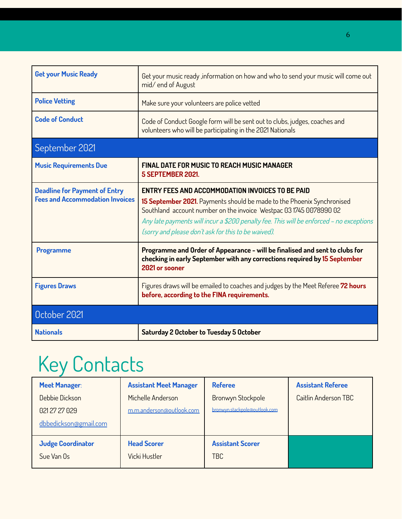| <b>Get your Music Ready</b>                                                    | Get your music ready ,information on how and who to send your music will come out<br>mid/end of August                                                                                                                                                                                                                                                    |
|--------------------------------------------------------------------------------|-----------------------------------------------------------------------------------------------------------------------------------------------------------------------------------------------------------------------------------------------------------------------------------------------------------------------------------------------------------|
| <b>Police Vetting</b>                                                          | Make sure your volunteers are police vetted                                                                                                                                                                                                                                                                                                               |
| <b>Code of Conduct</b>                                                         | Code of Conduct Google form will be sent out to clubs, judges, coaches and<br>volunteers who will be participating in the 2021 Nationals                                                                                                                                                                                                                  |
| September 2021                                                                 |                                                                                                                                                                                                                                                                                                                                                           |
| <b>Music Requirements Due</b>                                                  | <b>FINAL DATE FOR MUSIC TO REACH MUSIC MANAGER</b><br>5 SEPTEMBER 2021.                                                                                                                                                                                                                                                                                   |
| <b>Deadline for Payment of Entry</b><br><b>Fees and Accommodation Invoices</b> | <b>ENTRY FEES AND ACCOMMODATION INVOICES TO BE PAID</b><br>15 September 2021. Payments should be made to the Phoenix Synchronised<br>Southland account number on the invoice Westpac 03 1745 0078990 02<br>Any late payments will incur a \$200 penalty fee. This will be enforced - no exceptions<br>(sorry and please don't ask for this to be waived). |
| <b>Programme</b>                                                               | Programme and Order of Appearance - will be finalised and sent to clubs for<br>checking in early September with any corrections required by 15 September<br>2021 or sooner                                                                                                                                                                                |
| <b>Figures Draws</b>                                                           | Figures draws will be emailed to coaches and judges by the Meet Referee 72 hours<br>before, according to the FINA requirements.                                                                                                                                                                                                                           |
| October 2021                                                                   |                                                                                                                                                                                                                                                                                                                                                           |
| <b>Nationals</b>                                                               | <b>Saturday 2 October to Tuesday 5 October</b>                                                                                                                                                                                                                                                                                                            |

## Key Contacts

| <b>Meet Manager:</b>     | <b>Assistant Meet Manager</b> | <b>Referee</b>                | <b>Assistant Referee</b> |
|--------------------------|-------------------------------|-------------------------------|--------------------------|
| Debbie Dickson           | Michelle Anderson             | <b>Bronwyn Stockpole</b>      | Caitlin Anderson TBC     |
| 021 27 27 029            | m.m.anderson@outlook.com      | bronwyn.stackpole@outlook.com |                          |
| dbbedickson@gmail.com    |                               |                               |                          |
| <b>Judge Coordinator</b> | <b>Head Scorer</b>            | <b>Assistant Scorer</b>       |                          |
| Sue Van Os               | Vicki Hustler                 | <b>TBC</b>                    |                          |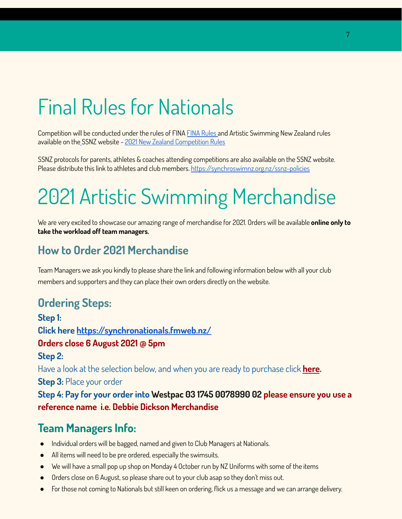## Final Rules for Nationals

Competition will be conducted under the rules of FINA [FINA Rules](http://www.fina.org/sites/default/files/as_rules_-_2017-2021_-_15092017_full.pdf) and Artistic Swimming New Zealand rules available on th[e S](http://www.fina.org/sites/default/files/as_rules_-_2017-2021_-_15092017_full.pdf)SNZ website - [2021 New Zealand Competition Rules](https://synchroswimnz.org.nz/competitions-and-results/new-zealand-competition-rules)

SSNZ protocols for parents, athletes & coaches attending competitions are also available on the SSNZ website. Please distribute this link to athletes and club members. <https://synchroswimnz.org.nz/ssnz-policies>

## 2021 Artistic Swimming Merchandise

We are very excited to showcase our amazing range of merchandise for 2021. Orders will be available **online only to take the workload off team managers.**

### **How to Order 2021 Merchandise**

Team Managers we ask you kindly to please share the link and following information below with all your club members and supporters and they can place their own orders directly on the website.

### **Ordering Steps:**

**Step 1: Click here <https://synchronationals.fmweb.nz/> Orders close 6 August 2021 @ 5pm Step 2:** Have a look at the selection below, and when you are ready to purchase click **[here](https://synchronationals.fmweb.nz/register). Step 3:** Place your order **Step 4: Pay for your order into Westpac 03 1745 0078990 02 please ensure you use a reference name i.e. Debbie Dickson Merchandise**

### **Team Managers Info:**

- Individual orders will be bagged, named and given to Club Managers at Nationals.
- All items will need to be pre ordered, especially the swimsuits.
- We will have a small pop up shop on Monday 4 October run by NZ Uniforms with some of the items
- Orders close on 6 August, so please share out to your club asap so they don't miss out.
- For those not coming to Nationals but still keen on ordering, flick us a message and we can arrange delivery.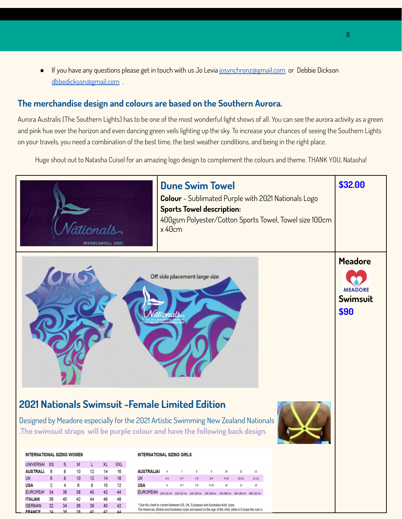● If you have any questions please get in touch with us Jo Levia [josynchronz@gmail.com](mailto:josynchronz@gmail.com) or Debbie Dickson [dbbedickson@gmail.com](mailto:dbbedickson@gmail.com) .

#### **The merchandise design and colours are based on the Southern Aurora.**

Aurora Australis (The Southern Lights) has to be one of the most wonderful light shows of all. You can see the aurora activity as a green and pink hue over the horizon and even dancing green veils lighting up the sky. To increase your chances of seeing the Southern Lights on your travels, you need a combination of the best time, the best weather conditions, and being in the right place.

Huge shout out to Natasha Cuisel for an amazing logo design to complement the colours and theme. THANK YOU, Natasha!

|                                   |                |          |          |          | ationals<br><b><i>ERCARGILL 2021</i></b> |            |                                                                                                                                                                                                                           | x 40cm     | <b>Dune Swim Towel</b><br><b>Sports Towel description:</b> |            |            |            |           | Colour - Sublimated Purple with 2021 Nationals Logo<br>400gsm Polyester/Cotton Sports Towel, Towel size 100cm | \$32.00                                                     |
|-----------------------------------|----------------|----------|----------|----------|------------------------------------------|------------|---------------------------------------------------------------------------------------------------------------------------------------------------------------------------------------------------------------------------|------------|------------------------------------------------------------|------------|------------|------------|-----------|---------------------------------------------------------------------------------------------------------------|-------------------------------------------------------------|
|                                   |                |          |          |          |                                          |            | 2021 Nationals Swimsuit - Female Limited Edition<br>Designed by Meadore especially for the 2021 Artistic Swimming New Zealand Nationals<br>.The swimsuit straps will be purple colour and have the following back design. |            | Off side placement large size                              |            |            |            |           |                                                                                                               | <b>Meadore</b><br><b>MEADORE</b><br><b>Swimsuit</b><br>\$90 |
| <b>INTERNATIONAL SIZING WOMEN</b> |                |          |          |          |                                          |            | <b>INTERNATIONAL SIZING GIRLS</b>                                                                                                                                                                                         |            |                                                            |            |            |            |           |                                                                                                               |                                                             |
| UNIVERSAI XS                      |                | s        | M        | L        | <b>XL</b>                                | <b>XXL</b> |                                                                                                                                                                                                                           |            |                                                            |            |            |            |           |                                                                                                               |                                                             |
| AUSTRALI 6                        |                | 8        | 10       | 12       | 14                                       | 16         | <b>AUSTRALIAI</b>                                                                                                                                                                                                         |            |                                                            | 8          |            |            | 12        |                                                                                                               |                                                             |
| <b>UK</b>                         | 6              | 8        | 10       | 12       | 14                                       | 16         | <b>UK</b>                                                                                                                                                                                                                 |            |                                                            |            |            | $10-11$    | $11 - 12$ |                                                                                                               |                                                             |
| <b>USA</b>                        | $\overline{2}$ | 4        | 6        | 8        | 10                                       | 12         | <b>USA</b>                                                                                                                                                                                                                |            |                                                            | $7-8$      |            | 11         | 14        |                                                                                                               |                                                             |
| <b>EUROPEAN</b>                   | 34             | 36       | 38       | 40       | 42                                       | 44         | <b>EUROPEAN</b>                                                                                                                                                                                                           | 110-116 cm | 116-122 cm                                                 | 122-128 cm | 128-134 cm | 140-146 cm |           |                                                                                                               |                                                             |
| <b>ITALIAN</b><br><b>GERMAN</b>   | 38<br>32       | 40<br>34 | 42<br>36 | 44<br>38 | 46<br>40                                 | 42         | * Use this chart to convert between US, UK, European and Australian kids' sizes.                                                                                                                                          |            |                                                            |            |            |            |           |                                                                                                               |                                                             |
| <b>FRANCE</b>                     | 2 <sub>A</sub> | 36       | 38       | 40       | 42                                       |            | The American, British and Australian sizes are based on the age of the child, while in Europe the size is                                                                                                                 |            |                                                            |            |            |            |           |                                                                                                               |                                                             |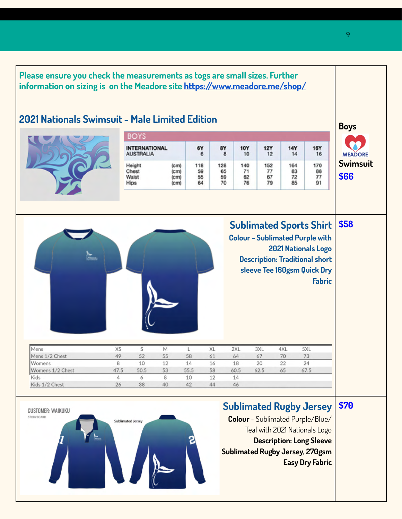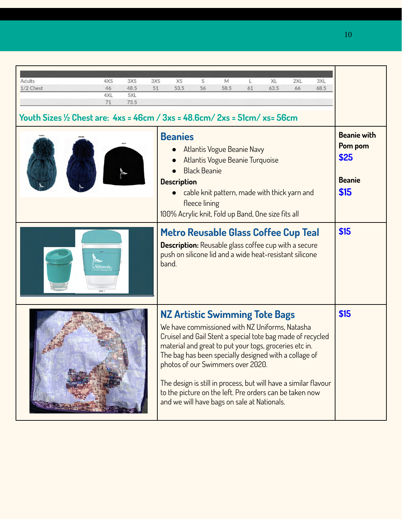| Adults<br>4XS<br>3XS                                                                      | 3XS | XS                                   | S                                    | M                                                                                                                                                                                                                                                                                                                                                                                                                                                                                          |    | XL   | 2XL | 3XL  |                                                                |
|-------------------------------------------------------------------------------------------|-----|--------------------------------------|--------------------------------------|--------------------------------------------------------------------------------------------------------------------------------------------------------------------------------------------------------------------------------------------------------------------------------------------------------------------------------------------------------------------------------------------------------------------------------------------------------------------------------------------|----|------|-----|------|----------------------------------------------------------------|
| 48.5<br>1/2 Chest<br>46<br>5XL<br>4XL                                                     | 51  | 53.5                                 | 56                                   | 58.5                                                                                                                                                                                                                                                                                                                                                                                                                                                                                       | 61 | 63.5 | 66  | 68.5 |                                                                |
| 73.5<br>71                                                                                |     |                                      |                                      |                                                                                                                                                                                                                                                                                                                                                                                                                                                                                            |    |      |     |      |                                                                |
| Youth Sizes $\frac{1}{2}$ Chest are: $4xs = 46cm / 3xs = 48.6cm / 2xs = 51cm / xs = 56cm$ |     |                                      |                                      |                                                                                                                                                                                                                                                                                                                                                                                                                                                                                            |    |      |     |      |                                                                |
|                                                                                           |     | <b>Beanies</b><br><b>Description</b> | <b>Black Beanie</b><br>fleece lining | Atlantis Vogue Beanie Navy<br>Atlantis Vogue Beanie Turquoise<br>cable knit pattern, made with thick yarn and<br>100% Acrylic knit, Fold up Band, One size fits all                                                                                                                                                                                                                                                                                                                        |    |      |     |      | <b>Beanie with</b><br>Pom pom<br>\$25<br><b>Beanie</b><br>\$15 |
|                                                                                           |     | band.                                |                                      | Metro Reusable Glass Coffee Cup Teal<br><b>Description:</b> Reusable glass coffee cup with a secure<br>push on silicone lid and a wide heat-resistant silicone                                                                                                                                                                                                                                                                                                                             |    |      |     |      | \$15                                                           |
|                                                                                           |     |                                      |                                      | <b>NZ Artistic Swimming Tote Bags</b><br>We have commissioned with NZ Uniforms, Natasha<br>Cruisel and Gail Stent a special tote bag made of recycled<br>material and great to put your togs, groceries etc in.<br>The bag has been specially designed with a collage of<br>photos of our Swimmers over 2020.<br>The design is still in process, but will have a similar flavour<br>to the picture on the left. Pre orders can be taken now<br>and we will have bags on sale at Nationals. |    |      |     |      | \$15                                                           |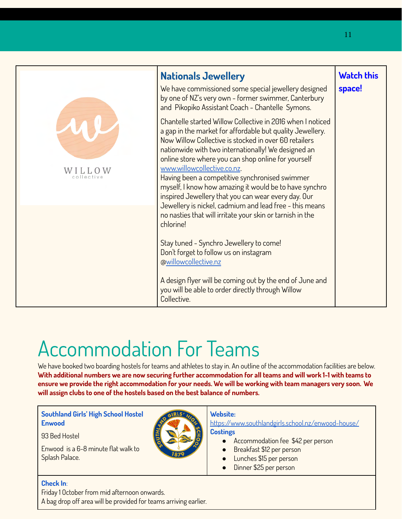|            | <b>Nationals Jewellery</b><br>We have commissioned some special jewellery designed<br>by one of NZ's very own - former swimmer, Canterbury<br>and Pikopiko Assistant Coach - Chantelle Symons.                                                                                                                                                                                                                                                                                                                                                              | <b>Watch this</b><br>space! |
|------------|-------------------------------------------------------------------------------------------------------------------------------------------------------------------------------------------------------------------------------------------------------------------------------------------------------------------------------------------------------------------------------------------------------------------------------------------------------------------------------------------------------------------------------------------------------------|-----------------------------|
| collective | Chantelle started Willow Collective in 2016 when I noticed<br>a gap in the market for affordable but quality Jewellery.<br>Now Willow Collective is stocked in over 60 retailers<br>nationwide with two internationally! We designed an<br>online store where you can shop online for yourself<br>www.willowcollective.co.nz.<br>Having been a competitive synchronised swimmer<br>myself, I know how amazing it would be to have synchro<br>inspired Jewellery that you can wear every day. Our<br>Jewellery is nickel, cadmium and lead free - this means |                             |
|            | no nasties that will irritate your skin or tarnish in the<br>chlorine!<br>Stay tuned - Synchro Jewellery to come!<br>Don't forget to follow us on instagram<br>@willowcollective.nz<br>A design flyer will be coming out by the end of June and<br>you will be able to order directly through Willow<br>Collective.                                                                                                                                                                                                                                         |                             |

### Accommodation For Teams

We have booked two boarding hostels for teams and athletes to stay in. An outline of the accommodation facilities are below. **With additional numbers we are now securing further accommodation for all teams and will work 1-1 with teams to ensure we provide the right accommodation for your needs. We will be working with team managers very soon. We will assign clubs to one of the hostels based on the best balance of numbers.**

#### **Southland Girls' High School Hostel Enwood**

93 Bed Hostel

Enwood is a 6-8 minute flat walk to Splash Palace.



#### **Website:**

<https://www.southlandgirls.school.nz/enwood-house/> **Costings**

- Accommodation fee \$42 per person
- Breakfast \$12 per person
- Lunches \$15 per person
- Dinner \$25 per person

#### **Check In**:

Friday 1 October from mid afternoon onwards.

A bag drop off area will be provided for teams arriving earlier.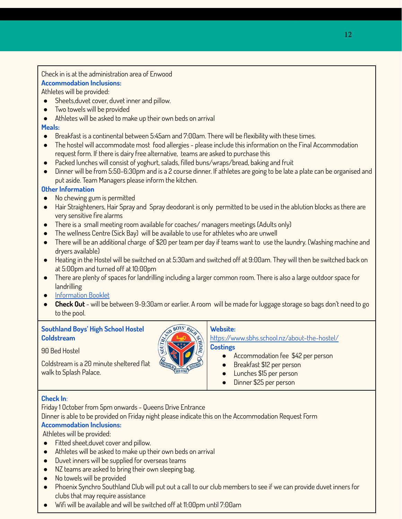#### Check in is at the administration area of Enwood **Accommodation Inclusions:**

Athletes will be provided:

- Sheets,duvet cover, duvet inner and pillow.
- Two towels will be provided
- Athletes will be asked to make up their own beds on arrival

#### **Meals:**

- $\bullet$  Breakfast is a continental between 5:45am and 7:00am. There will be flexibility with these times.
- The hostel will accommodate most food allergies please include this information on the Final Accommodation request form. If there is dairy free alternative, teams are asked to purchase this
- Packed lunches will consist of yoghurt, salads, filled buns/wraps/bread, baking and fruit
- Dinner will be from 5:50-6:30pm and is a 2 course dinner. If athletes are going to be late a plate can be organised and put aside. Team Managers please inform the kitchen.

#### **Other Information**

- No chewing gum is permitted
- Hair Straighteners, Hair Spray and Spray deodorant is only permitted to be used in the ablution blocks as there are very sensitive fire alarms
- There is a small meeting room available for coaches/ managers meetings (Adults only)
- The wellness Centre (Sick Bay) will be available to use for athletes who are unwell
- There will be an additional charge of \$20 per team per day if teams want to use the laundry. (Washing machine and dryers available)
- Heating in the Hostel will be switched on at 5:30am and switched off at 9:00am. They will then be switched back on at 5:00pm and turned off at 10:00pm
- There are plenty of spaces for landrilling including a larger common room. There is also a large outdoor space for landrilling
- [Information Booklet](https://drive.google.com/file/d/1YC2Zx9M_95SRNtMLJBcog5_EhKpGpW0S/view?usp=sharing)
- **Check Out** will be between 9-9:30am or earlier. A room will be made for luggage storage so bags don't need to go to the pool.

#### **Southland Boys' High School Hostel Coldstream**



90 Bed Hostel

Coldstream is a 20 minute sheltered flat walk to Splash Palace.

#### **Website:**

<https://www.sbhs.school.nz/about-the-hostel/> **Costings**

- Accommodation fee \$42 per person
- Breakfast \$12 per person
- Lunches \$15 per person
- Dinner \$25 per person

#### **Check In**:

Friday 1 October from 5pm onwards - Queens Drive Entrance

Dinner is able to be provided on Friday night please indicate this on the Accommodation Request Form **Accommodation Inclusions:**

Athletes will be provided:

- Fitted sheet,duvet cover and pillow.
- Athletes will be asked to make up their own beds on arrival
- Duvet inners will be supplied for overseas teams
- NZ teams are asked to bring their own sleeping bag.
- No towels will be provided
- Phoenix Synchro Southland Club will put out a call to our club members to see if we can provide duvet inners for clubs that may require assistance
- Wifi will be available and will be switched off at 11:00pm until  $7:00$ am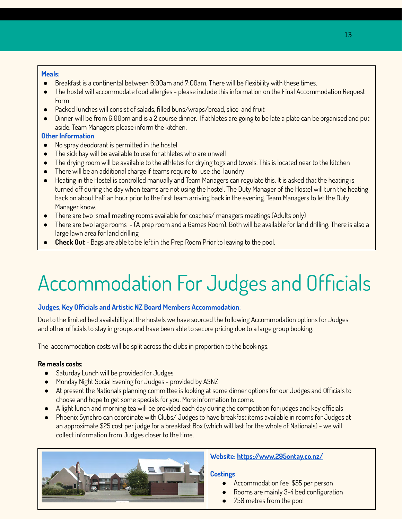#### **Meals:**

- Breakfast is a continental between 6:00am and 7:00am. There will be flexibility with these times.
- The hostel will accommodate food allergies please include this information on the Final Accommodation Request Form
- Packed lunches will consist of salads, filled buns/wraps/bread, slice and fruit
- Dinner will be from 6:00pm and is a 2 course dinner. If athletes are going to be late a plate can be organised and put aside. Team Managers please inform the kitchen.

#### **Other Information**

- No spray deodorant is permitted in the hostel
- The sick bay will be available to use for athletes who are unwell
- The drying room will be available to the athletes for drying togs and towels. This is located near to the kitchen
- There will be an additional charge if teams require to use the laundry
- Heating in the Hostel is controlled manually and Team Managers can regulate this. It is asked that the heating is turned off during the day when teams are not using the hostel. The Duty Manager of the Hostel will turn the heating back on about half an hour prior to the first team arriving back in the evening. Team Managers to let the Duty Manager know.
- There are two small meeting rooms available for coaches/ managers meetings (Adults only)
- There are two large rooms (A prep room and a Games Room). Both will be available for land drilling. There is also a large lawn area for land drilling
- **Check Out** Bags are able to be left in the Prep Room Prior to leaving to the pool.

## Accommodation For Judges and Officials

#### **Judges, Key Officials and Artistic NZ Board Members Accommodation**:

Due to the limited bed availability at the hostels we have sourced the following Accommodation options for Judges and other officials to stay in groups and have been able to secure pricing due to a large group booking.

The accommodation costs will be split across the clubs in proportion to the bookings.

#### **Re meals costs:**

- Saturday Lunch will be provided for Judges
- Monday Night Social Evening for Judges provided by ASNZ
- At present the Nationals planning committee is looking at some dinner options for our Judges and Officials to choose and hope to get some specials for you. More information to come.
- A light lunch and morning tea will be provided each day during the competition for judges and key officials
- Phoenix Synchro can coordinate with Clubs/ Judges to have breakfast items available in rooms for Judges at an approximate \$25 cost per judge for a breakfast Box (which will last for the whole of Nationals) - we will collect information from Judges closer to the time.



#### **Website:<https://www.295ontay.co.nz/>**

#### **Costings**

- Accommodation fee \$55 per person
- Rooms are mainly 3-4 bed configuration
- 750 metres from the pool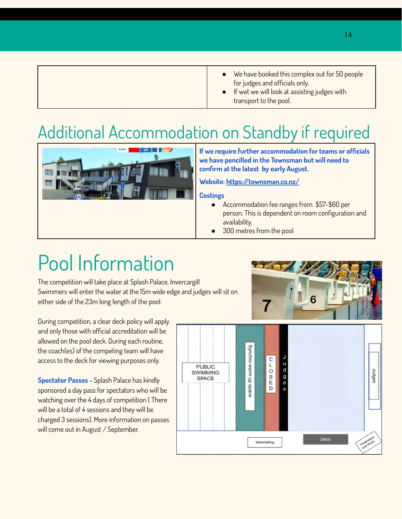### Additional Accommodation on Standby if required



**If we require further accommodation for teams or officials we have pencilled in the Townsman but will need to confirm at the latest by early August.**

#### **Website:<https://townsman.co.nz/>**

#### **Costings**

- Accommodation fee ranges from \$57-\$60 per person. This is dependent on room configuration and availability.
- 300 metres from the pool

### Pool Information

The competition will take place at Splash Palace, Invercargill Swimmers will enter the water at the 15m wide edge and judges will sit on either side of the 23m long length of the pool.

During competition, a clear deck policy will apply and only those with official accreditation will be allowed on the pool deck. During each routine, the coach(es) of the competing team will have access to the deck for viewing purposes only.

**Spectator Passes -** Splash Palace has kindly sponsored a day pass for spectators who will be watching over the 4 days of competition ( There will be a total of 4 sessions and they will be charged 3 sessions). More information on passes will come out in August / September.

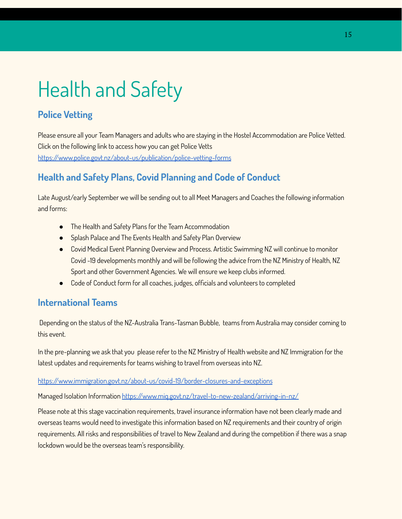## Health and Safety

### **Police Vetting**

Please ensure all your Team Managers and adults who are staying in the Hostel Accommodation are Police Vetted. Click on the following link to access how you can get Police Vetts <https://www.police.govt.nz/about-us/publication/police-vetting-forms>

### **Health and Safety Plans, Covid Planning and Code of Conduct**

Late August/early September we will be sending out to all Meet Managers and Coaches the following information and forms:

- The Health and Safety Plans for the Team Accommodation
- Splash Palace and The Events Health and Safety Plan Overview
- Covid Medical Event Planning Overview and Process. Artistic Swimming NZ will continue to monitor Covid -19 developments monthly and will be following the advice from the NZ Ministry of Health, NZ Sport and other Government Agencies. We will ensure we keep clubs informed.
- Code of Conduct form for all coaches, judges, officials and volunteers to completed

### **International Teams**

Depending on the status of the NZ-Australia Trans-Tasman Bubble, teams from Australia may consider coming to this event.

In the pre-planning we ask that you please refer to the NZ Ministry of Health website and NZ Immigration for the latest updates and requirements for teams wishing to travel from overseas into NZ.

#### <https://www.immigration.govt.nz/about-us/covid-19/border-closures-and-exceptions>

Managed Isolation Information <https://www.miq.govt.nz/travel-to-new-zealand/arriving-in-nz/>

Please note at this stage vaccination requirements, travel insurance information have not been clearly made and overseas teams would need to investigate this information based on NZ requirements and their country of origin requirements. All risks and responsibilities of travel to New Zealand and during the competition if there was a snap lockdown would be the overseas team's responsibility.